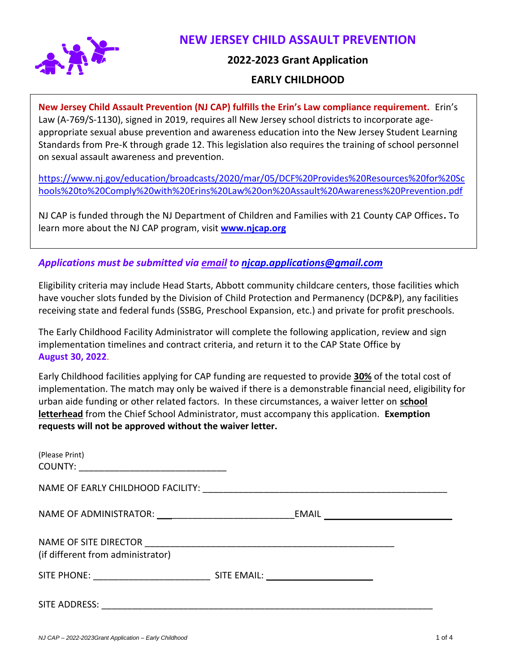

# **NEW JERSEY CHILD ASSAULT PREVENTION**

### **2022-2023 Grant Application**

## **EARLY CHILDHOOD**

**New Jersey Child Assault Prevention (NJ CAP) fulfills the Erin's Law compliance requirement.** Erin's Law (A-769/S-1130), signed in 2019, requires all New Jersey school districts to incorporate ageappropriate sexual abuse prevention and awareness education into the New Jersey Student Learning Standards from Pre-K through grade 12. This legislation also requires the training of school personnel on sexual assault awareness and prevention.

[https://www.nj.gov/education/broadcasts/2020/mar/05/DCF%20Provides%20Resources%20for%20Sc](https://www.nj.gov/education/broadcasts/2020/mar/05/DCF%20Provides%20Resources%20for%20Schools%20to%20Comply%20with%20Erins%20Law%20on%20Assault%20Awareness%20Prevention.pdf) [hools%20to%20Comply%20with%20Erins%20Law%20on%20Assault%20Awareness%20Prevention.pdf](https://www.nj.gov/education/broadcasts/2020/mar/05/DCF%20Provides%20Resources%20for%20Schools%20to%20Comply%20with%20Erins%20Law%20on%20Assault%20Awareness%20Prevention.pdf)

NJ CAP is funded through the NJ Department of Children and Families with 21 County CAP Offices**.** To learn more about the NJ CAP program, visit **[www.njcap.org](http://www.njcap.org/)**

*Applications must be submitted via email to [njcap.applications@gmail.com](mailto:njcap.applications@gmail.com)*

Eligibility criteria may include Head Starts, Abbott community childcare centers, those facilities which have voucher slots funded by the Division of Child Protection and Permanency (DCP&P), any facilities receiving state and federal funds (SSBG, Preschool Expansion, etc.) and private for profit preschools.

The Early Childhood Facility Administrator will complete the following application, review and sign implementation timelines and contract criteria, and return it to the CAP State Office by **August 30, 2022**.

Early Childhood facilities applying for CAP funding are requested to provide **30%** of the total cost of implementation. The match may only be waived if there is a demonstrable financial need, eligibility for urban aide funding or other related factors. In these circumstances, a waiver letter on **school letterhead** from the Chief School Administrator, must accompany this application. **Exemption requests will not be approved without the waiver letter.** 

| (Please Print)<br>COUNTY: _________________________________ |       |                                                      |
|-------------------------------------------------------------|-------|------------------------------------------------------|
|                                                             |       |                                                      |
| NAME OF ADMINISTRATOR: ___________________________          | EMAIL | <u> 1980 - Johann Barn, fransk politik (d. 1980)</u> |
| (if different from administrator)                           |       |                                                      |
|                                                             |       |                                                      |
| SITE ADDRESS:                                               |       |                                                      |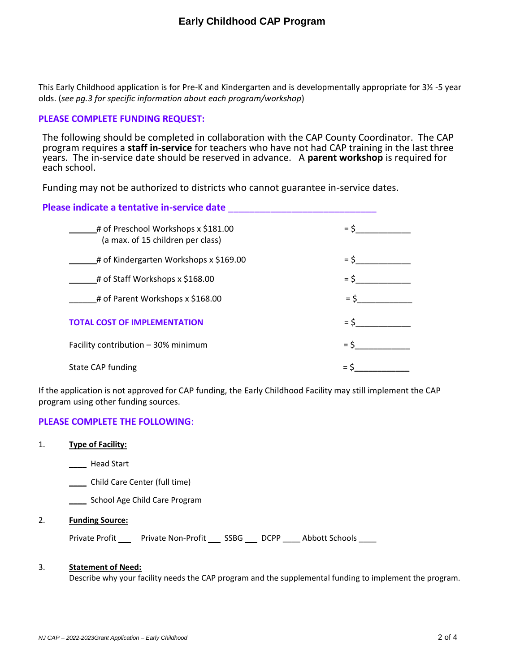This Early Childhood application is for Pre-K and Kindergarten and is developmentally appropriate for 3½ -5 year olds. (*see pg.3 for specific information about each program/workshop*)

#### **PLEASE COMPLETE FUNDING REQUEST:**

The following should be completed in collaboration with the CAP County Coordinator. The CAP program requires a **staff in-service** for teachers who have not had CAP training in the last three years. The in-service date should be reserved in advance. A **parent workshop** is required for each school.

Funding may not be authorized to districts who cannot guarantee in-service dates.

| Please indicate a tentative in-service date                              |        |
|--------------------------------------------------------------------------|--------|
| # of Preschool Workshops x \$181.00<br>(a max. of 15 children per class) | $=$ \$ |
| # of Kindergarten Workshops x \$169.00                                   | $=$ \$ |
| # of Staff Workshops x \$168.00                                          | $=$ \$ |
| # of Parent Workshops x \$168.00                                         | $=$ S  |
| <b>TOTAL COST OF IMPLEMENTATION</b>                                      | $=$ \$ |
| Facility contribution - 30% minimum                                      | $=$ \$ |
| <b>State CAP funding</b>                                                 |        |

If the application is not approved for CAP funding, the Early Childhood Facility may still implement the CAP program using other funding sources.

### **PLEASE COMPLETE THE FOLLOWING**:

#### 1. **Type of Facility:**

**\_\_\_\_** Head Start

**\_\_\_\_** Child Care Center (full time)

**Letter School Age Child Care Program** 

#### 2. **Funding Source:**

Private Profit \_\_\_\_\_ Private Non-Profit \_\_\_\_ SSBG \_\_\_\_ DCPP \_\_\_\_ Abbott Schools \_\_\_\_

#### 3. **Statement of Need:**

Describe why your facility needs the CAP program and the supplemental funding to implement the program.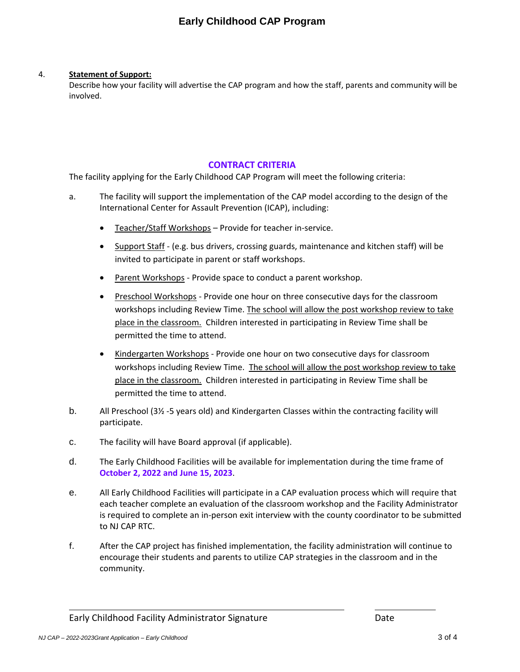### 4. **Statement of Support:**

Describe how your facility will advertise the CAP program and how the staff, parents and community will be involved.

### **CONTRACT CRITERIA**

The facility applying for the Early Childhood CAP Program will meet the following criteria:

- a. The facility will support the implementation of the CAP model according to the design of the International Center for Assault Prevention (ICAP), including:
	- Teacher/Staff Workshops Provide for teacher in-service.
	- Support Staff (e.g. bus drivers, crossing guards, maintenance and kitchen staff) will be invited to participate in parent or staff workshops.
	- Parent Workshops Provide space to conduct a parent workshop.
	- Preschool Workshops Provide one hour on three consecutive days for the classroom workshops including Review Time. The school will allow the post workshop review to take place in the classroom. Children interested in participating in Review Time shall be permitted the time to attend.
	- Kindergarten Workshops Provide one hour on two consecutive days for classroom workshops including Review Time. The school will allow the post workshop review to take place in the classroom. Children interested in participating in Review Time shall be permitted the time to attend.
- b. All Preschool (3½ -5 years old) and Kindergarten Classes within the contracting facility will participate.
- c. The facility will have Board approval (if applicable).
- d. The Early Childhood Facilities will be available for implementation during the time frame of **October 2, 2022 and June 15, 2023**.
- e. All Early Childhood Facilities will participate in a CAP evaluation process which will require that each teacher complete an evaluation of the classroom workshop and the Facility Administrator is required to complete an in-person exit interview with the county coordinator to be submitted to NJ CAP RTC.
- f. After the CAP project has finished implementation, the facility administration will continue to encourage their students and parents to utilize CAP strategies in the classroom and in the community.